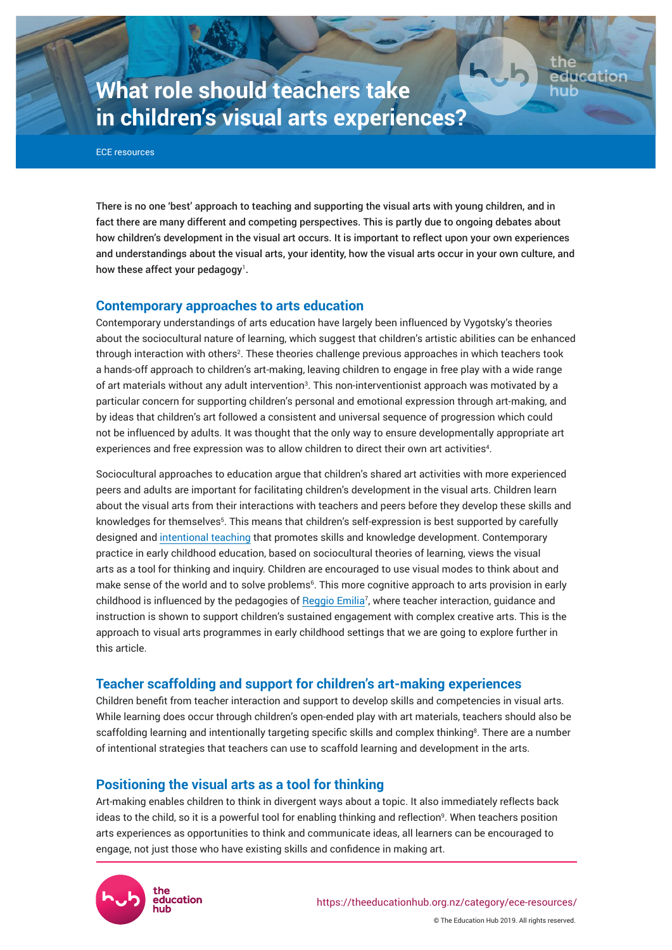# **What role should teachers take in children's visual arts experiences?**

ECE resources

There is no one 'best' approach to teaching and supporting the visual arts with young children, and in fact there are many different and competing perspectives. This is partly due to ongoing debates about how children's development in the visual art occurs. It is important to reflect upon your own experiences and understandings about the visual arts, your identity, how the visual arts occur in your own culture, and how these affect your pedagogy $^{\rm l}$  .

## **Contemporary approaches to arts education**

Contemporary understandings of arts education have largely been influenced by Vygotsky's theories about the sociocultural nature of learning, which suggest that children's artistic abilities can be enhanced through interaction with others<sup>2</sup>. These theories challenge previous approaches in which teachers took a hands-off approach to children's art-making, leaving children to engage in free play with a wide range of art materials without any adult intervention<sup>3</sup>. This non-interventionist approach was motivated by a particular concern for supporting children's personal and emotional expression through art-making, and by ideas that children's art followed a consistent and universal sequence of progression which could not be influenced by adults. It was thought that the only way to ensure developmentally appropriate art experiences and free expression was to allow children to direct their own art activities<sup>4</sup>.

Sociocultural approaches to education argue that children's shared art activities with more experienced peers and adults are important for facilitating children's development in the visual arts. Children learn about the visual arts from their interactions with teachers and peers before they develop these skills and knowledges for themselves<sup>5</sup>. This means that children's self-expression is best supported by carefully designed and [intentional teaching](https://theeducationhub.org.nz/intentional-teaching/) that promotes skills and knowledge development. Contemporary practice in early childhood education, based on sociocultural theories of learning, views the visual arts as a tool for thinking and inquiry. Children are encouraged to use visual modes to think about and make sense of the world and to solve problems<sup>6</sup>. This more cognitive approach to arts provision in early childhood is influenced by the pedagogies of [Reggio Emilia](https://theeducationhub.org.nz/the-reggio-emilia-approach/)<sup>7</sup> , where teacher interaction, guidance and instruction is shown to support children's sustained engagement with complex creative arts. This is the approach to visual arts programmes in early childhood settings that we are going to explore further in this article.

## **Teacher scaffolding and support for children's art-making experiences**

Children benefit from teacher interaction and support to develop skills and competencies in visual arts. While learning does occur through children's open-ended play with art materials, teachers should also be scaffolding learning and intentionally targeting specific skills and complex thinking<sup>8</sup>. There are a number of intentional strategies that teachers can use to scaffold learning and development in the arts.

## **Positioning the visual arts as a tool for thinking**

Art-making enables children to think in divergent ways about a topic. It also immediately reflects back ideas to the child, so it is a powerful tool for enabling thinking and reflection<sup>9</sup>. When teachers position arts experiences as opportunities to think and communicate ideas, all learners can be encouraged to engage, not just those who have existing skills and confidence in making art.



© The Education Hub 2019. All rights reserved.

Page 1

**Ication**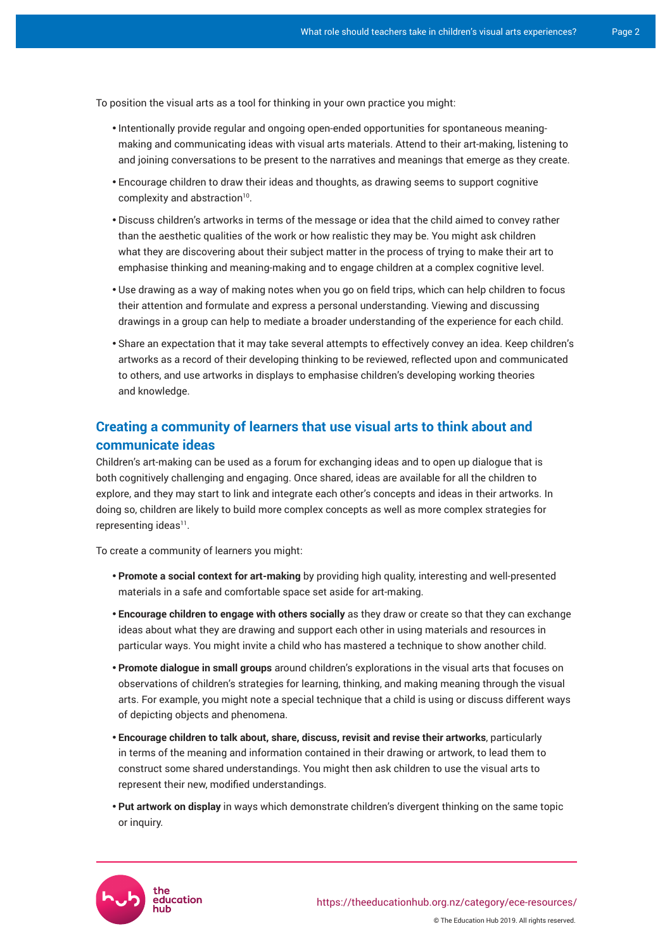To position the visual arts as a tool for thinking in your own practice you might:

- Intentionally provide regular and ongoing open-ended opportunities for spontaneous meaningmaking and communicating ideas with visual arts materials. Attend to their art-making, listening to and joining conversations to be present to the narratives and meanings that emerge as they create.
- Encourage children to draw their ideas and thoughts, as drawing seems to support cognitive complexity and abstraction<sup>10</sup>.
- • Discuss children's artworks in terms of the message or idea that the child aimed to convey rather than the aesthetic qualities of the work or how realistic they may be. You might ask children what they are discovering about their subject matter in the process of trying to make their art to emphasise thinking and meaning-making and to engage children at a complex cognitive level.
- Use drawing as a way of making notes when you go on field trips, which can help children to focus their attention and formulate and express a personal understanding. Viewing and discussing drawings in a group can help to mediate a broader understanding of the experience for each child.
- Share an expectation that it may take several attempts to effectively convey an idea. Keep children's artworks as a record of their developing thinking to be reviewed, reflected upon and communicated to others, and use artworks in displays to emphasise children's developing working theories and knowledge.

# **Creating a community of learners that use visual arts to think about and communicate ideas**

Children's art-making can be used as a forum for exchanging ideas and to open up dialogue that is both cognitively challenging and engaging. Once shared, ideas are available for all the children to explore, and they may start to link and integrate each other's concepts and ideas in their artworks. In doing so, children are likely to build more complex concepts as well as more complex strategies for  $rep$ representing ideas $^{\text{11}}$ .

To create a community of learners you might:

- **Promote a social context for art-making** by providing high quality, interesting and well-presented materials in a safe and comfortable space set aside for art-making.
- **Encourage children to engage with others socially** as they draw or create so that they can exchange ideas about what they are drawing and support each other in using materials and resources in particular ways. You might invite a child who has mastered a technique to show another child.
- Promote dialogue in small groups around children's explorations in the visual arts that focuses on observations of children's strategies for learning, thinking, and making meaning through the visual arts. For example, you might note a special technique that a child is using or discuss different ways of depicting objects and phenomena.
- • **Encourage children to talk about, share, discuss, revisit and revise their artworks**, particularly in terms of the meaning and information contained in their drawing or artwork, to lead them to construct some shared understandings. You might then ask children to use the visual arts to represent their new, modified understandings.
- Put artwork on display in ways which demonstrate children's divergent thinking on the same topic or inquiry.

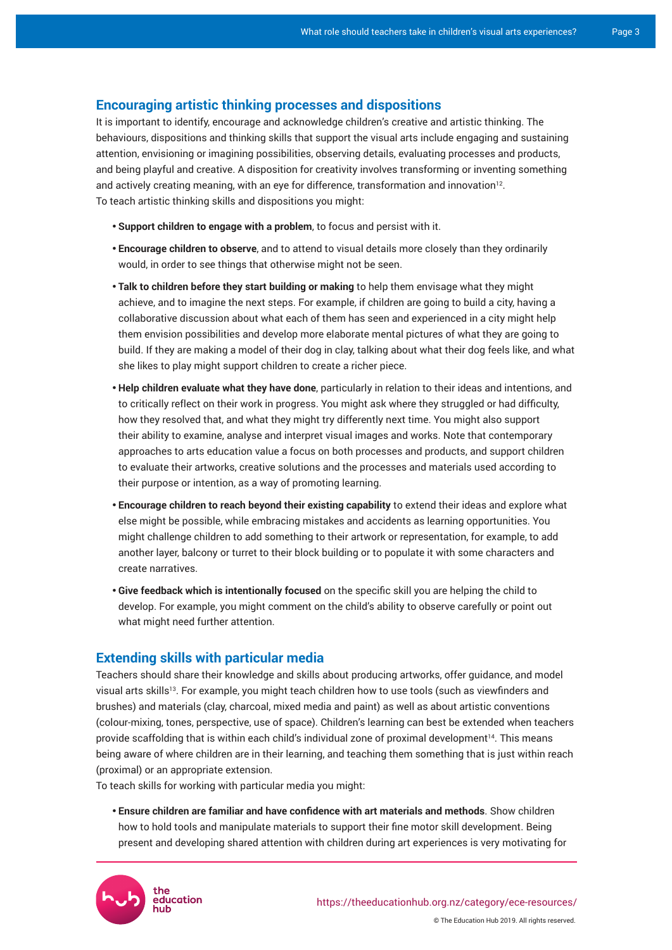#### **Encouraging artistic thinking processes and dispositions**

It is important to identify, encourage and acknowledge children's creative and artistic thinking. The behaviours, dispositions and thinking skills that support the visual arts include engaging and sustaining attention, envisioning or imagining possibilities, observing details, evaluating processes and products, and being playful and creative. A disposition for creativity involves transforming or inventing something and actively creating meaning, with an eye for difference, transformation and innovation<sup>12</sup>. To teach artistic thinking skills and dispositions you might:

- **Support children to engage with a problem**, to focus and persist with it.
- **Encourage children to observe**, and to attend to visual details more closely than they ordinarily would, in order to see things that otherwise might not be seen.
- Talk to children before they start building or making to help them envisage what they might achieve, and to imagine the next steps. For example, if children are going to build a city, having a collaborative discussion about what each of them has seen and experienced in a city might help them envision possibilities and develop more elaborate mental pictures of what they are going to build. If they are making a model of their dog in clay, talking about what their dog feels like, and what she likes to play might support children to create a richer piece.
- • **Help children evaluate what they have done**, particularly in relation to their ideas and intentions, and to critically reflect on their work in progress. You might ask where they struggled or had difficulty, how they resolved that, and what they might try differently next time. You might also support their ability to examine, analyse and interpret visual images and works. Note that contemporary approaches to arts education value a focus on both processes and products, and support children to evaluate their artworks, creative solutions and the processes and materials used according to their purpose or intention, as a way of promoting learning.
- **Encourage children to reach beyond their existing capability** to extend their ideas and explore what else might be possible, while embracing mistakes and accidents as learning opportunities. You might challenge children to add something to their artwork or representation, for example, to add another layer, balcony or turret to their block building or to populate it with some characters and create narratives.
- • **Give feedback which is intentionally focused** on the specific skill you are helping the child to develop. For example, you might comment on the child's ability to observe carefully or point out what might need further attention.

#### **Extending skills with particular media**

Teachers should share their knowledge and skills about producing artworks, offer guidance, and model visual arts skills<sup>13</sup>. For example, you might teach children how to use tools (such as viewfinders and brushes) and materials (clay, charcoal, mixed media and paint) as well as about artistic conventions (colour-mixing, tones, perspective, use of space). Children's learning can best be extended when teachers provide scaffolding that is within each child's individual zone of proximal development<sup>14</sup>. This means being aware of where children are in their learning, and teaching them something that is just within reach (proximal) or an appropriate extension.

To teach skills for working with particular media you might:

• **Ensure children are familiar and have confidence with art materials and methods**. Show children how to hold tools and manipulate materials to support their fine motor skill development. Being present and developing shared attention with children during art experiences is very motivating for

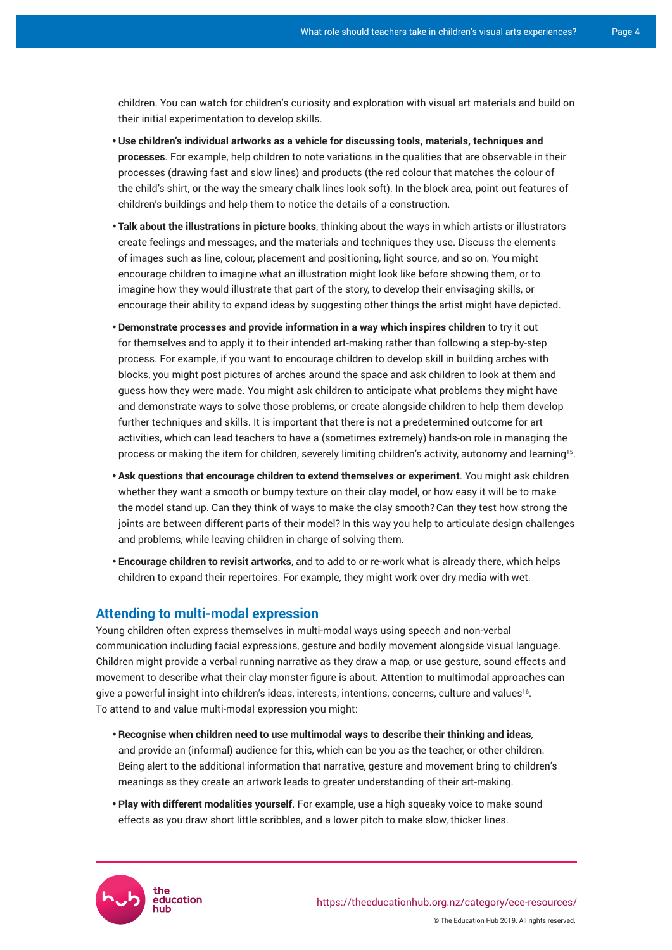children. You can watch for children's curiosity and exploration with visual art materials and build on their initial experimentation to develop skills.

- • **Use children's individual artworks as a vehicle for discussing tools, materials, techniques and processes**. For example, help children to note variations in the qualities that are observable in their processes (drawing fast and slow lines) and products (the red colour that matches the colour of the child's shirt, or the way the smeary chalk lines look soft). In the block area, point out features of children's buildings and help them to notice the details of a construction.
- Talk about the illustrations in picture books, thinking about the ways in which artists or illustrators create feelings and messages, and the materials and techniques they use. Discuss the elements of images such as line, colour, placement and positioning, light source, and so on. You might encourage children to imagine what an illustration might look like before showing them, or to imagine how they would illustrate that part of the story, to develop their envisaging skills, or encourage their ability to expand ideas by suggesting other things the artist might have depicted.
- • **Demonstrate processes and provide information in a way which inspires children** to try it out for themselves and to apply it to their intended art-making rather than following a step-by-step process. For example, if you want to encourage children to develop skill in building arches with blocks, you might post pictures of arches around the space and ask children to look at them and guess how they were made. You might ask children to anticipate what problems they might have and demonstrate ways to solve those problems, or create alongside children to help them develop further techniques and skills. It is important that there is not a predetermined outcome for art activities, which can lead teachers to have a (sometimes extremely) hands-on role in managing the process or making the item for children, severely limiting children's activity, autonomy and learning 15 .
- • **Ask questions that encourage children to extend themselves or experiment**. You might ask children whether they want a smooth or bumpy texture on their clay model, or how easy it will be to make the model stand up. Can they think of ways to make the clay smooth?Can they test how strong the joints are between different parts of their model? In this way you help to articulate design challenges and problems, while leaving children in charge of solving them.
- • **Encourage children to revisit artworks**, and to add to or re-work what is already there, which helps children to expand their repertoires. For example, they might work over dry media with wet.

## **Attending to multi-modal expression**

Young children often express themselves in multi-modal ways using speech and non-verbal communication including facial expressions, gesture and bodily movement alongside visual language. Children might provide a verbal running narrative as they draw a map, or use gesture, sound effects and movement to describe what their clay monster figure is about. Attention to multimodal approaches can give a powerful insight into children's ideas, interests, intentions, concerns, culture and values $^{\rm 16}$ . To attend to and value multi-modal expression you might:

- • **Recognise when children need to use multimodal ways to describe their thinking and ideas**, and provide an (informal) audience for this, which can be you as the teacher, or other children. Being alert to the additional information that narrative, gesture and movement bring to children's meanings as they create an artwork leads to greater understanding of their art-making.
- Play with different modalities yourself. For example, use a high squeaky voice to make sound effects as you draw short little scribbles, and a lower pitch to make slow, thicker lines.

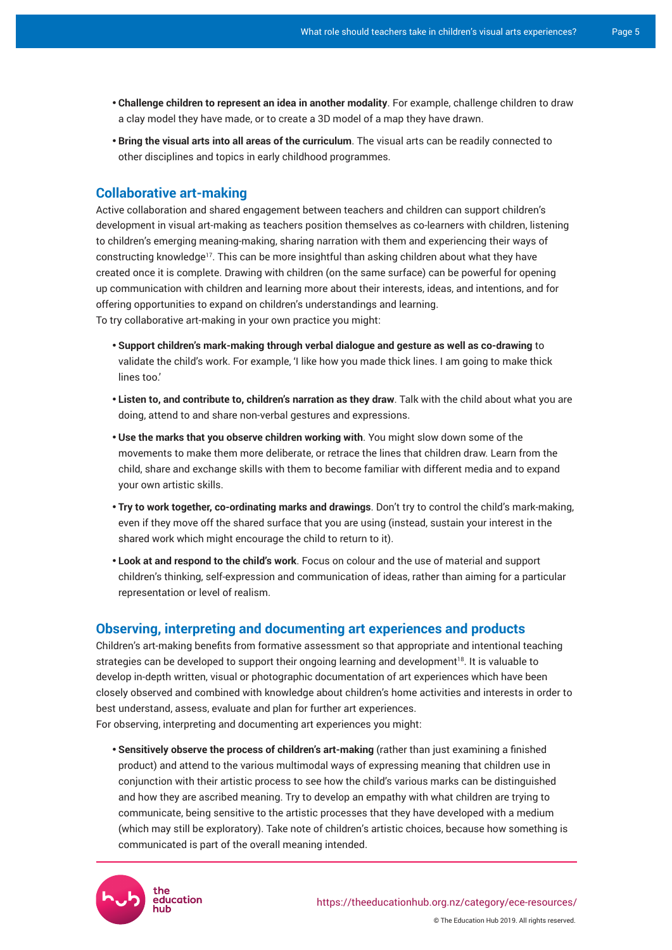- • **Challenge children to represent an idea in another modality**. For example, challenge children to draw a clay model they have made, or to create a 3D model of a map they have drawn.
- • **Bring the visual arts into all areas of the curriculum**. The visual arts can be readily connected to other disciplines and topics in early childhood programmes.

## **Collaborative art-making**

Active collaboration and shared engagement between teachers and children can support children's development in visual art-making as teachers position themselves as co-learners with children, listening to children's emerging meaning-making, sharing narration with them and experiencing their ways of constructing knowledge17. This can be more insightful than asking children about what they have created once it is complete. Drawing with children (on the same surface) can be powerful for opening up communication with children and learning more about their interests, ideas, and intentions, and for offering opportunities to expand on children's understandings and learning. To try collaborative art-making in your own practice you might:

• **Support children's mark-making through verbal dialogue and gesture as well as co-drawing** to validate the child's work. For example, 'I like how you made thick lines. I am going to make thick lines too.'

- • **Listen to, and contribute to, children's narration as they draw**. Talk with the child about what you are doing, attend to and share non-verbal gestures and expressions.
- Use the marks that you observe children working with. You might slow down some of the movements to make them more deliberate, or retrace the lines that children draw. Learn from the child, share and exchange skills with them to become familiar with different media and to expand your own artistic skills.
- • **Try to work together, co-ordinating marks and drawings**. Don't try to control the child's mark-making, even if they move off the shared surface that you are using (instead, sustain your interest in the shared work which might encourage the child to return to it).
- • **Look at and respond to the child's work**. Focus on colour and the use of material and support children's thinking, self-expression and communication of ideas, rather than aiming for a particular representation or level of realism.

### **Observing, interpreting and documenting art experiences and products**

Children's art-making benefits from formative assessment so that appropriate and intentional teaching strategies can be developed to support their ongoing learning and development<sup>18</sup>. It is valuable to develop in-depth written, visual or photographic documentation of art experiences which have been closely observed and combined with knowledge about children's home activities and interests in order to best understand, assess, evaluate and plan for further art experiences. For observing, interpreting and documenting art experiences you might:

• **Sensitively observe the process of children's art-making** (rather than just examining a finished product) and attend to the various multimodal ways of expressing meaning that children use in conjunction with their artistic process to see how the child's various marks can be distinguished and how they are ascribed meaning. Try to develop an empathy with what children are trying to communicate, being sensitive to the artistic processes that they have developed with a medium (which may still be exploratory). Take note of children's artistic choices, because how something is communicated is part of the overall meaning intended.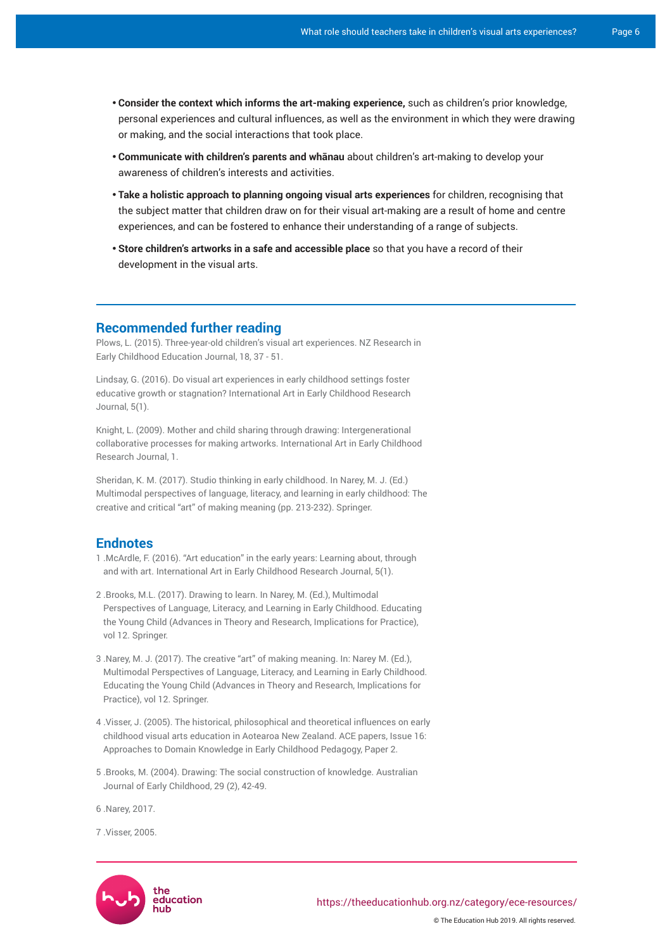- • **Consider the context which informs the art-making experience,** such as children's prior knowledge, personal experiences and cultural influences, as well as the environment in which they were drawing or making, and the social interactions that took place.
- • **Communicate with children's parents and whānau** about children's art-making to develop your awareness of children's interests and activities.
- Take a holistic approach to planning ongoing visual arts experiences for children, recognising that the subject matter that children draw on for their visual art-making are a result of home and centre experiences, and can be fostered to enhance their understanding of a range of subjects.
- **Store children's artworks in a safe and accessible place** so that you have a record of their development in the visual arts.

#### **Recommended further reading**

Plows, L. (2015). Three-year-old children's visual art experiences. NZ Research in Early Childhood Education Journal, 18, 37 - 51.

Lindsay, G. (2016). [Do visual art experiences in early childhood settings foster](https://artinearlychildhood.org/journals/2016/ARTEC_2016_Research_Journal_1_Article_2_Lindsay.pdf)  [educative growth or stagnation?](https://artinearlychildhood.org/journals/2016/ARTEC_2016_Research_Journal_1_Article_2_Lindsay.pdf) International Art in Early Childhood Research Journal, 5(1).

Knight, L. (2009). [Mother and child sharing through drawing: Intergenerational](https://artinearlychildhood.org/artec/images/article/ARTEC_2009_Research_Journal_1_Article_2.pdf)  [collaborative processes for making artworks.](https://artinearlychildhood.org/artec/images/article/ARTEC_2009_Research_Journal_1_Article_2.pdf) International Art in Early Childhood Research Journal, 1.

Sheridan, K. M. (2017). Studio thinking in early childhood. In Narey, M. J. (Ed.) Multimodal perspectives of language, literacy, and learning in early childhood: The creative and critical "art" of making meaning (pp. 213-232). Springer.

## **Endnotes**

- 1 .McArdle, F. (2016). "Art education" in the early years: Learning about, through and with art. International Art in Early Childhood Research Journal, 5(1).
- 2 .Brooks, M.L. (2017). Drawing to learn. In Narey, M. (Ed.), Multimodal Perspectives of Language, Literacy, and Learning in Early Childhood. Educating the Young Child (Advances in Theory and Research, Implications for Practice), vol 12. Springer.
- 3 .Narey, M. J. (2017). The creative "art" of making meaning. In: Narey M. (Ed.), Multimodal Perspectives of Language, Literacy, and Learning in Early Childhood. Educating the Young Child (Advances in Theory and Research, Implications for Practice), vol 12. Springer.
- 4 .Visser, J. (2005). The historical, philosophical and theoretical influences on early childhood visual arts education in Aotearoa New Zealand. ACE papers, Issue 16: Approaches to Domain Knowledge in Early Childhood Pedagogy, Paper 2.
- 5 .Brooks, M. (2004). Drawing: The social construction of knowledge. Australian Journal of Early Childhood, 29 (2), 42-49.

6 .Narey, 2017.

7 .Visser, 2005.